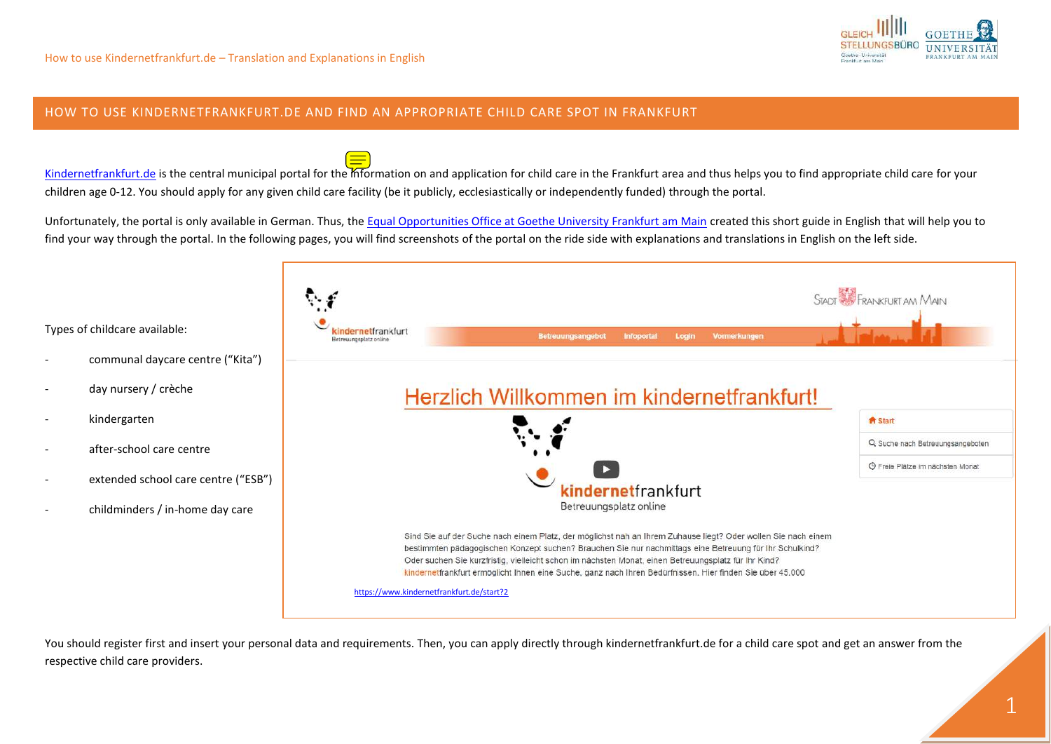

## HOW TO USE [KINDERNETFRANKFURT.DE](http://www.kindernetfrankfurt.de/) AND FIND AN APPROPRIATE CHILD CARE SPOT IN FRANKFURT

[Kindernetfrankfurt.de](http://www.kindernetfrankfurt.de/) is the central municipal portal for the information on and application for child care in the Frankfurt area and thus helps you to find appropriate child care for your children age 0-12. You should apply for any given child care facility (be it publicly, ecclesiastically or independently funded) through the portal.

Unfortunately, the portal is only available in German. Thus, the [Equal Opportunities Office at Goethe University Frankfurt am Main](https://www.uni-frankfurt.de/36385877/chancengleichheit) created this short guide in English that will help you to find your way through the portal. In the following pages, you will find screenshots of the portal on the ride side with explanations and translations in English on the left side.



You should register first and insert your personal data and requirements. Then, you can apply directly through kindernetfrankfurt.de for a child care spot and get an answer from the respective child care providers.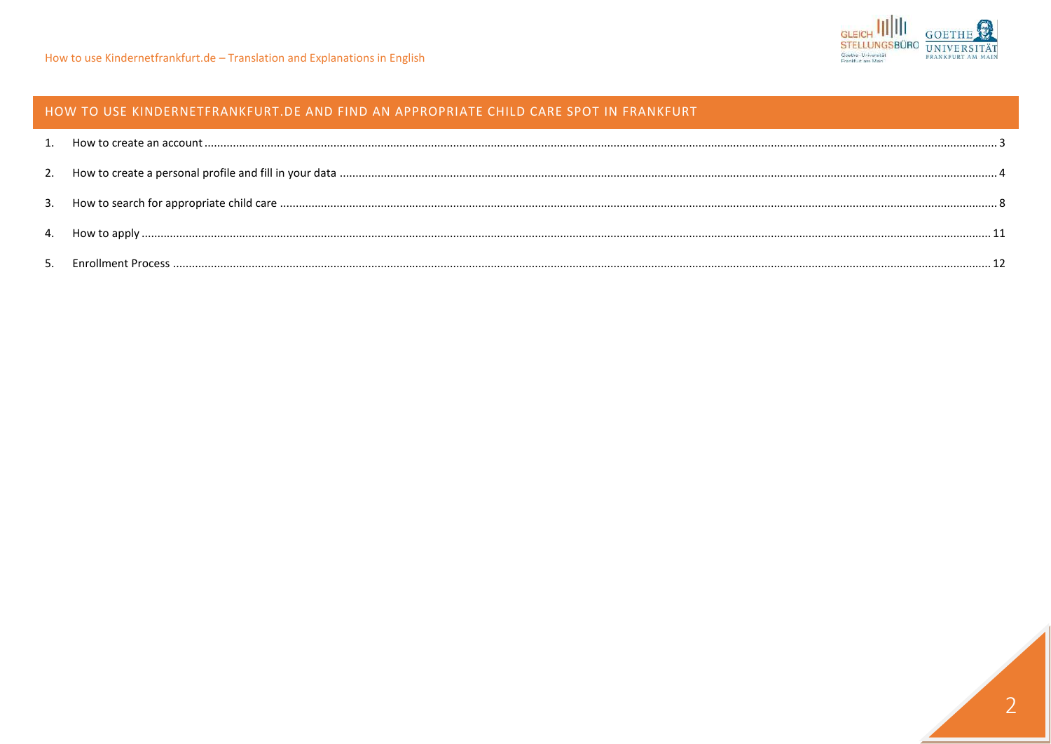# HOW TO USE KINDERNETFRANKFURT.DE AND FIND AN APPROPRIATE CHILD CARE SPOT IN FRANKFURT

| 4. |  |
|----|--|
|    |  |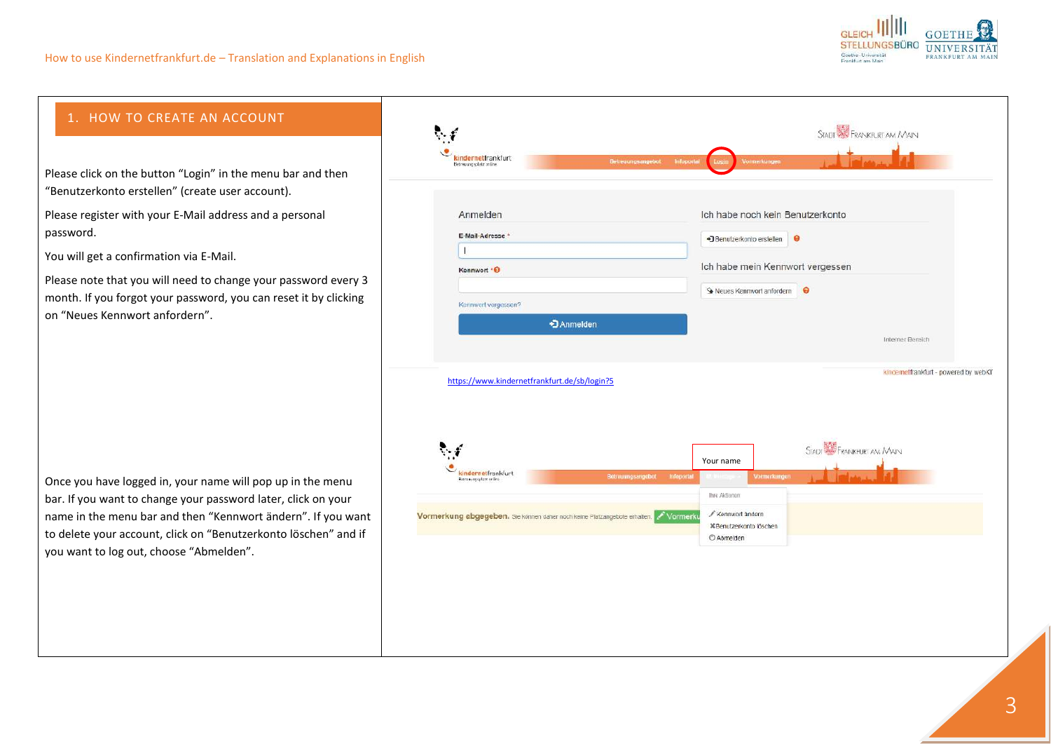

# <span id="page-2-0"></span>1. HOW TO CREATE AN ACCOUNT

Please click on the button "Login" in the menu bar and then "Benutzerkonto erstellen" (create user account).

Please register with your E-Mail address and a personal password.

You will get a confirmation via E-Mail.

Please note that you will need to change your password every 3 month. If you forgot your password, you can reset it by clicking on "Neues Kennwort anfordern".

Once you have logged in, your name will pop up in the menu bar. If you want to change your password later, click on your name in the menu bar and then "Kennwort ändern". If you want to delete your account, click on "Benutzerkonto löschen" and if you want to log out, choose "Abmelden".

| Anmelden<br>E-Mail-Adresse *                 | Ich habe noch kein Benutzerkonto                                                                                                                     |
|----------------------------------------------|------------------------------------------------------------------------------------------------------------------------------------------------------|
|                                              | • Benutzerkonto erstellen<br>$\bullet$                                                                                                               |
| Kennwort *O                                  | Ich habe mein Kennwort vergessen                                                                                                                     |
|                                              | Weues Kennwort anfordern<br>$\bullet$                                                                                                                |
| Kennwort vergessen?                          |                                                                                                                                                      |
|                                              | *JAnmelden                                                                                                                                           |
|                                              | Interner Bereich                                                                                                                                     |
| https://www.kindernetfrankfurt.de/sb/login?5 |                                                                                                                                                      |
|                                              | STADT SE FRANKFURT AM MAIN                                                                                                                           |
| kindernetfrankfurt                           | Your name                                                                                                                                            |
| Betrowingsplatz online                       | Betrouungsangebot<br>Vormorkungen<br>Infoportal<br>Thre Aktionen:                                                                                    |
|                                              | Kennwort andern<br>Vormerkung abgegeben. Sie können daher noch keine Platzangebote erhalten. Vormerku<br><b>XBenutzerkonto löschen</b><br>C Abmelden |
|                                              | kindernetfrankfurt - powered by webKI'                                                                                                               |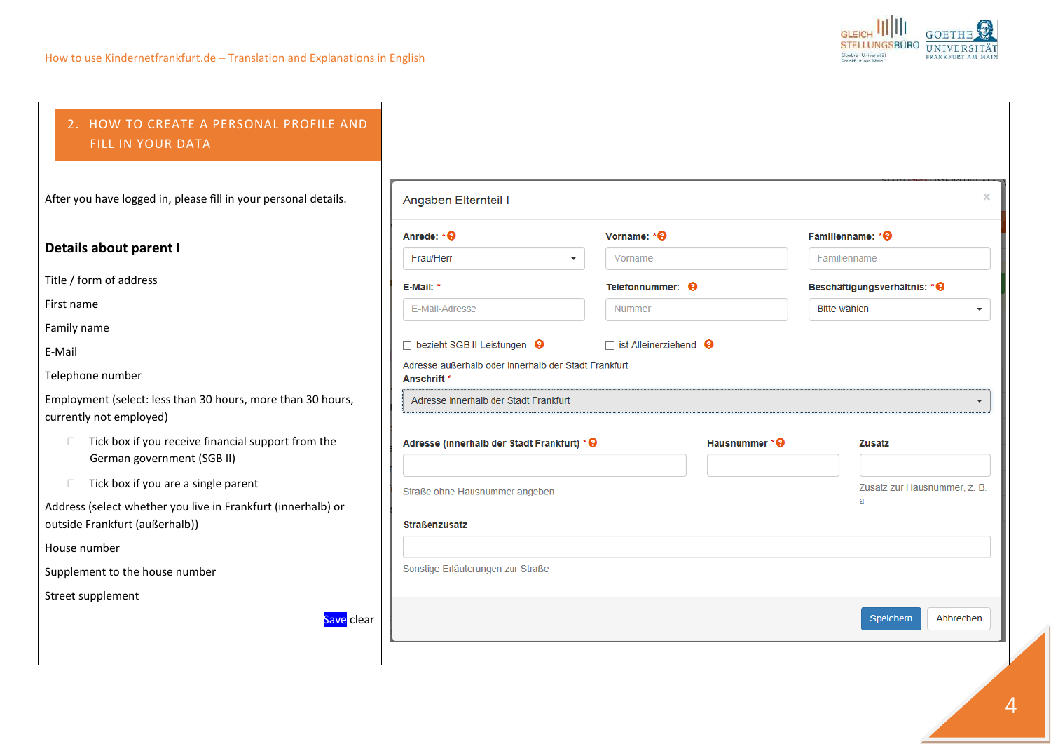

<span id="page-3-0"></span>

| 2. HOW TO CREATE A PERSONAL PROFILE AND<br>FILL IN YOUR DATA                                   |                                                                                |                                     |                |                               |           |
|------------------------------------------------------------------------------------------------|--------------------------------------------------------------------------------|-------------------------------------|----------------|-------------------------------|-----------|
| After you have logged in, please fill in your personal details.                                | Angaben Elternteil I                                                           |                                     |                |                               | ×         |
| Details about parent I                                                                         | Anrede: *@                                                                     | Vorname: *@                         |                | Familienname: *@              |           |
|                                                                                                | Frau/Herr                                                                      | Vorname<br>$\overline{\phantom{a}}$ |                | Familienname                  |           |
| Title / form of address                                                                        | E-Mail: *                                                                      | Telefonnummer: <sup>9</sup>         |                | Beschäftigungsverhältnis: * 0 |           |
| First name                                                                                     | E-Mail-Adresse                                                                 | Nummer                              |                | Bitte wählen                  |           |
| Family name                                                                                    |                                                                                |                                     |                |                               |           |
| E-Mail                                                                                         | □ bezieht SGB II Leistungen <b>+</b>                                           | $\Box$ ist Alleinerziehend $\Theta$ |                |                               |           |
| Telephone number                                                                               | Adresse außerhalb oder innerhalb der Stadt Frankfurt<br>Anschrift <sup>*</sup> |                                     |                |                               |           |
| Employment (select: less than 30 hours, more than 30 hours,<br>currently not employed)         | Adresse innerhalb der Stadt Frankfurt                                          |                                     |                |                               |           |
| Tick box if you receive financial support from the<br>$\Box$<br>German government (SGB II)     | Adresse (innerhalb der Stadt Frankfurt) * @                                    |                                     | Hausnummer * @ | <b>Zusatz</b>                 |           |
| Tick box if you are a single parent<br>$\Box$                                                  | Straße ohne Hausnummer angeben                                                 |                                     |                | Zusatz zur Hausnummer, z. B.  |           |
| Address (select whether you live in Frankfurt (innerhalb) or<br>outside Frankfurt (außerhalb)) | <b>Straßenzusatz</b>                                                           |                                     |                | a                             |           |
| House number                                                                                   |                                                                                |                                     |                |                               |           |
| Supplement to the house number                                                                 | Sonstige Erläuterungen zur Straße                                              |                                     |                |                               |           |
| Street supplement                                                                              |                                                                                |                                     |                |                               |           |
| Save clear                                                                                     |                                                                                |                                     |                | Speichern                     | Abbrechen |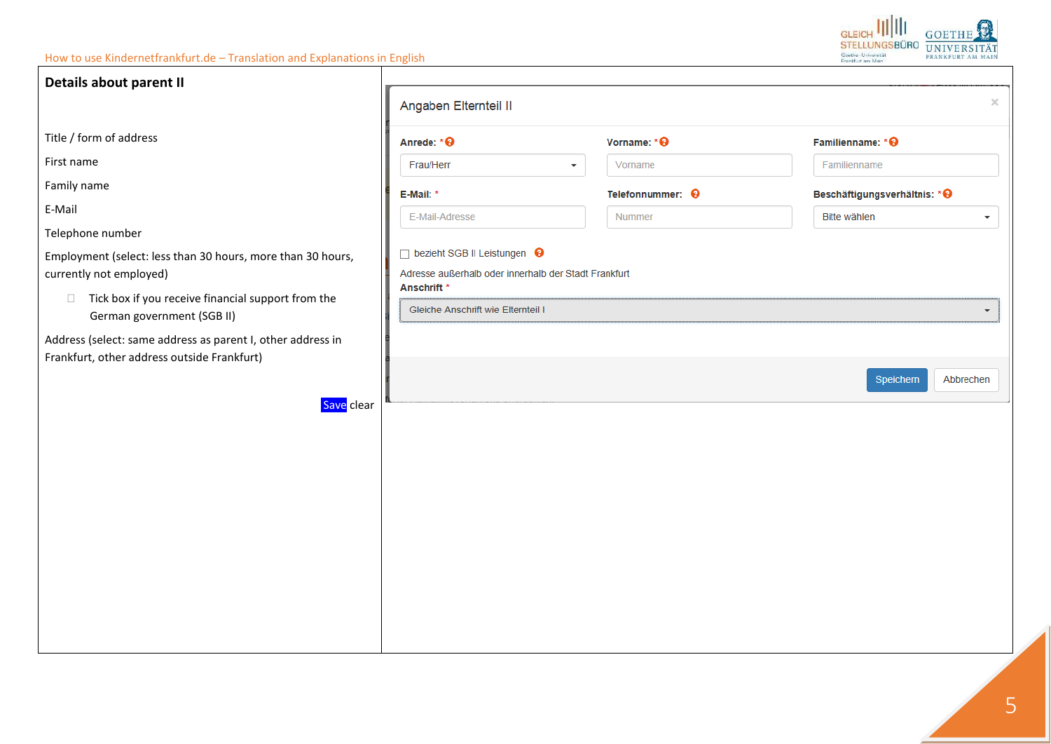| Details about parent II                                                                                    |                                                                                                                 |                             |                                         |
|------------------------------------------------------------------------------------------------------------|-----------------------------------------------------------------------------------------------------------------|-----------------------------|-----------------------------------------|
|                                                                                                            | Angaben Elternteil II                                                                                           |                             | $\times$                                |
| Title / form of address                                                                                    | Anrede: * @                                                                                                     | Vorname: *@                 | Familienname: * 0                       |
| First name                                                                                                 | Frau/Herr                                                                                                       | Vorname<br>▼                | Familienname                            |
| Family name                                                                                                | E-Mail: *                                                                                                       | Telefonnummer: <sup>0</sup> | Beschäftigungsverhältnis: * +           |
| E-Mail                                                                                                     | E-Mail-Adresse                                                                                                  | Nummer                      | Bitte wählen<br>$\overline{\mathbf{v}}$ |
| Telephone number                                                                                           |                                                                                                                 |                             |                                         |
| Employment (select: less than 30 hours, more than 30 hours,<br>currently not employed)                     | □ bezieht SGB II Leistungen ●<br>Adresse außerhalb oder innerhalb der Stadt Frankfurt<br>Anschrift <sup>*</sup> |                             |                                         |
| Tick box if you receive financial support from the<br>$\Box$<br>German government (SGB II)                 | Gleiche Anschrift wie Elternteil I                                                                              |                             | ▼                                       |
| Address (select: same address as parent I, other address in<br>Frankfurt, other address outside Frankfurt) |                                                                                                                 |                             |                                         |
| Save clear                                                                                                 |                                                                                                                 |                             | Speichern<br>Abbrechen                  |
|                                                                                                            |                                                                                                                 |                             |                                         |
|                                                                                                            |                                                                                                                 |                             |                                         |
|                                                                                                            |                                                                                                                 |                             |                                         |
|                                                                                                            |                                                                                                                 |                             |                                         |
|                                                                                                            |                                                                                                                 |                             |                                         |
|                                                                                                            |                                                                                                                 |                             |                                         |
|                                                                                                            |                                                                                                                 |                             |                                         |
|                                                                                                            |                                                                                                                 |                             |                                         |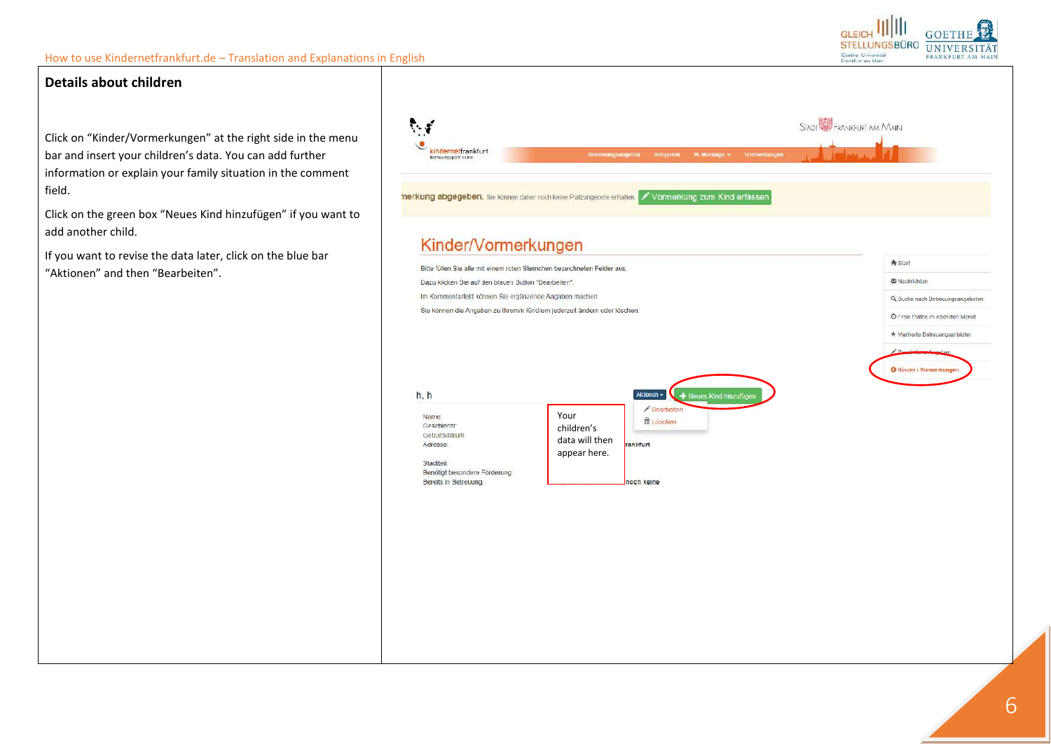

© Freie Plätze im nächsten Monat \* Markierte Betreuungsanbieter

O Kinder / Vormer!

### **Details about children**

Click on "Kinder/Vormerkungen" at the right side in the menu bar and insert your children's data. You can add further information or explain your family situation in the comment field.

Click on the green box "Neues Kind hinzufügen" if you want to add another child.

If you want to revise the data later, click on the blue bar "Aktionen" and then "Bearbeiten".



 $h, h$ Aktionan -+ Neues Kind hinzuft Bearbeiten Name: Your ft Löschen Geschlecht: children's Geburtsdatum: data will then ankfurt Adresse: appear here.Stadtteil: Benötigt besondere Förderung: Bereits in Betreuung. noch keine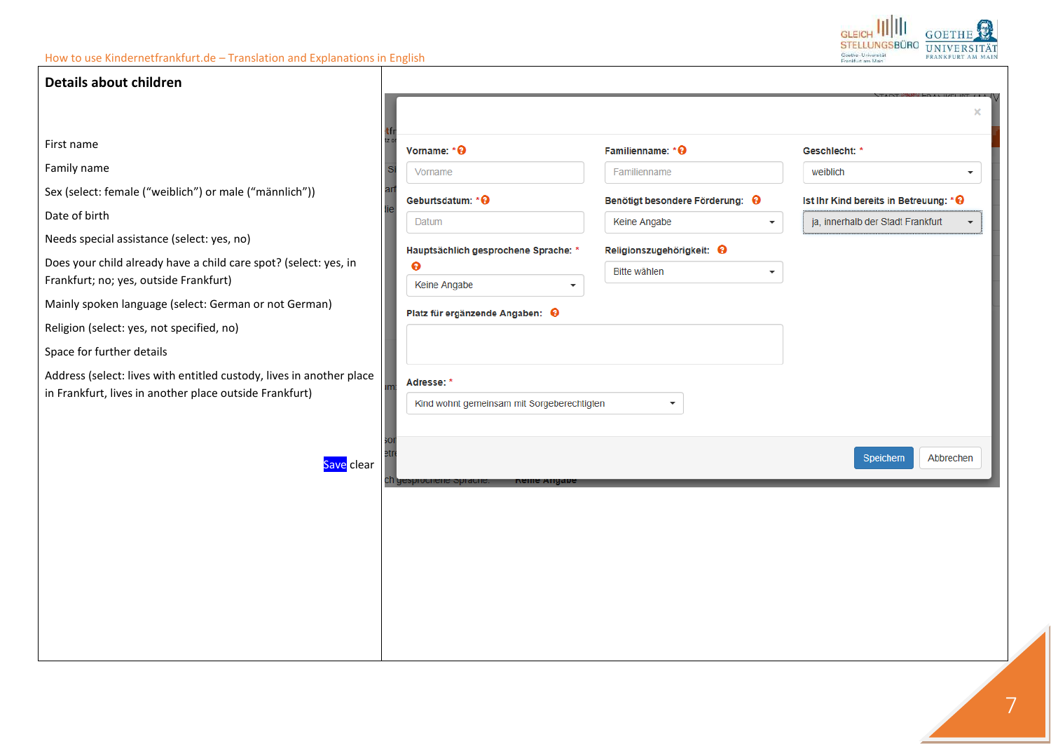

| Details about children                                               |                                            |                                          |                                                               |
|----------------------------------------------------------------------|--------------------------------------------|------------------------------------------|---------------------------------------------------------------|
|                                                                      |                                            |                                          | $\times$                                                      |
| First name                                                           | Vorname: *@                                | Familienname: *@                         | Geschlecht: *                                                 |
| Family name                                                          | Vorname                                    | Familienname                             | weiblich<br>$\cdot$                                           |
| Sex (select: female ("weiblich") or male ("männlich"))               | Geburtsdatum: * 0                          | Benötigt besondere Förderung: @          | Ist Ihr Kind bereits in Betreuung: * ℮                        |
| Date of birth                                                        | Datum                                      | Keine Angabe<br>$\overline{\phantom{a}}$ | ja, innerhalb der Stadt Frankfurt<br>$\overline{\phantom{a}}$ |
| Needs special assistance (select: yes, no)                           | Hauptsächlich gesprochene Sprache: *       | Religionszugehörigkeit: <b>℮</b>         |                                                               |
| Does your child already have a child care spot? (select: yes, in     | ❸                                          | Bitte wählen                             |                                                               |
| Frankfurt; no; yes, outside Frankfurt)                               | Keine Angabe<br>$\overline{\phantom{a}}$   |                                          |                                                               |
| Mainly spoken language (select: German or not German)                | Platz für ergänzende Angaben: @            |                                          |                                                               |
| Religion (select: yes, not specified, no)                            |                                            |                                          |                                                               |
| Space for further details                                            |                                            |                                          |                                                               |
| Address (select: lives with entitled custody, lives in another place | Adresse: *                                 |                                          |                                                               |
| in Frankfurt, lives in another place outside Frankfurt)              | Kind wohnt gemeinsam mit Sorgeberechtigten | $\cdot$                                  |                                                               |
|                                                                      |                                            |                                          |                                                               |
| Save clear                                                           |                                            |                                          | Speichern<br>Abbrechen                                        |
|                                                                      | cn gesproenene<br>Neille Alig              |                                          |                                                               |
|                                                                      |                                            |                                          |                                                               |
|                                                                      |                                            |                                          |                                                               |
|                                                                      |                                            |                                          |                                                               |
|                                                                      |                                            |                                          |                                                               |
|                                                                      |                                            |                                          |                                                               |
|                                                                      |                                            |                                          |                                                               |
|                                                                      |                                            |                                          |                                                               |
|                                                                      |                                            |                                          |                                                               |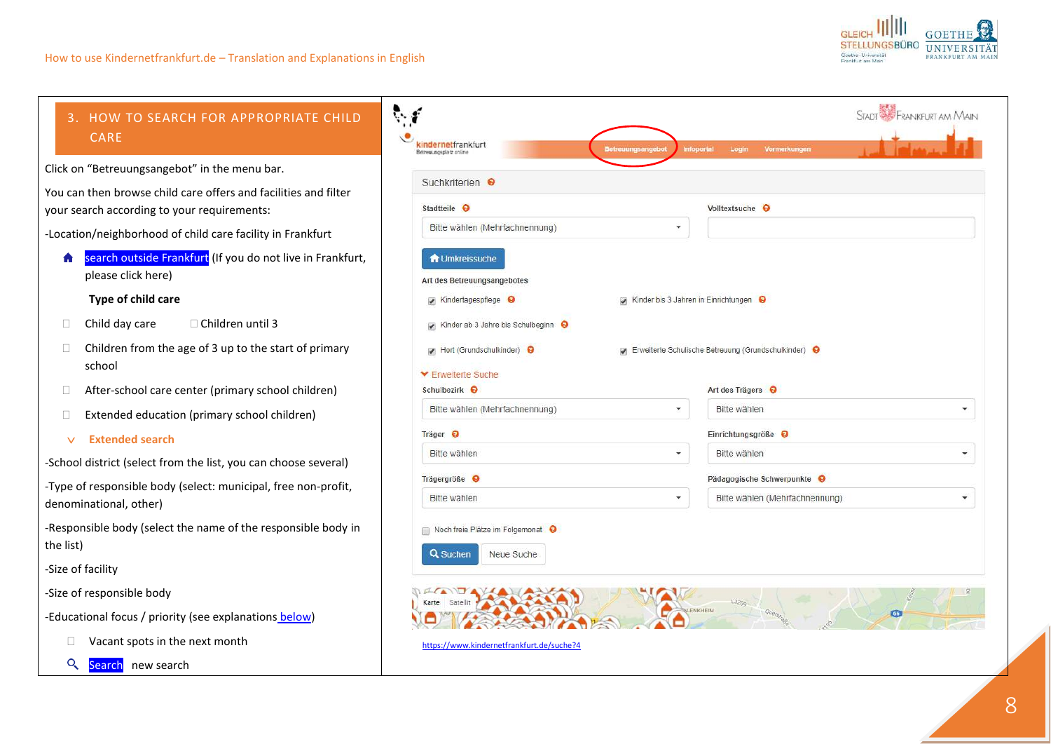

 $Q$ 

Search new search

<span id="page-7-0"></span>

| HOW TO SEARCH FOR APPROPRIATE CHILD<br>3.<br><b>CARE</b>                                                         | ै।<br>kindernetfrankfurt<br><b>Setreuungsangebot</b><br>Betreuungsplatz online                                                                             | STADT <b>EXP</b> FRANKFURT AM MAIN<br>Infoportal<br>Login<br>Vormerkungen              |  |  |
|------------------------------------------------------------------------------------------------------------------|------------------------------------------------------------------------------------------------------------------------------------------------------------|----------------------------------------------------------------------------------------|--|--|
| Click on "Betreuungsangebot" in the menu bar.<br>You can then browse child care offers and facilities and filter | Suchkriterien <sup>O</sup>                                                                                                                                 |                                                                                        |  |  |
| your search according to your requirements:                                                                      | Stadtteile <sup>O</sup>                                                                                                                                    | Volltextsuche <sup>O</sup>                                                             |  |  |
| -Location/neighborhood of child care facility in Frankfurt                                                       | Bitte wählen (Mehrfachnennung)                                                                                                                             | ٠                                                                                      |  |  |
| search outside Frankfurt (If you do not live in Frankfurt,<br>please click here)                                 | <b>T</b> Umkreissuche<br>Art des Betreuungsangebotes                                                                                                       |                                                                                        |  |  |
| Type of child care                                                                                               | Kindertagespflege<br>Kinder bis 3 Jahren in Einrichtungen                                                                                                  |                                                                                        |  |  |
| Child day care<br>$\Box$ Children until 3<br>$\Box$                                                              | Kinder ab 3 Jahre bis Schulbeginn $\Theta$<br>Hort (Grundschulkinder) O<br>Frweiterte Schulische Betreuung (Grundschulkinder)<br><b>▼ Erweiterte Suche</b> |                                                                                        |  |  |
| Children from the age of 3 up to the start of primary<br>school                                                  |                                                                                                                                                            |                                                                                        |  |  |
| After-school care center (primary school children)                                                               | Schulbezirk <sup>9</sup>                                                                                                                                   | Art des Trägers <sup>O</sup>                                                           |  |  |
| Extended education (primary school children)                                                                     | Bitte wählen (Mehrfachnennung)                                                                                                                             | Bitte wählen<br>$\blacktriangledown$<br>$\overline{\phantom{a}}$                       |  |  |
| <b>Extended search</b><br>$\vee$                                                                                 | Träger $\Theta$                                                                                                                                            | Einrichtungsgröße                                                                      |  |  |
| -School district (select from the list, you can choose several)                                                  | Bitte wählen                                                                                                                                               | Bitte wählen<br>۰<br>$\overline{\phantom{a}}$                                          |  |  |
| -Type of responsible body (select: municipal, free non-profit,                                                   | Trägergröße <sup>O</sup>                                                                                                                                   | Pädagogische Schwerpunkte                                                              |  |  |
| denominational, other)                                                                                           | Bitte wählen                                                                                                                                               | Bitte wählen (Mehrfachnennung)<br>$\overline{\phantom{a}}$<br>$\overline{\phantom{a}}$ |  |  |
| -Responsible body (select the name of the responsible body in<br>the list)                                       | Noch freie Plätze im Folgemonat<br><b>Q</b> Suchen<br>Neue Suche                                                                                           |                                                                                        |  |  |
| -Size of facility                                                                                                |                                                                                                                                                            |                                                                                        |  |  |
| -Size of responsible body                                                                                        | Satellit<br>Karte                                                                                                                                          | 13209                                                                                  |  |  |
| -Educational focus / priority (see explanations below)                                                           |                                                                                                                                                            | <b>N-ENKHEIM</b><br>66                                                                 |  |  |
| Vacant spots in the next month                                                                                   | https://www.kindernetfrankfurt.de/suche?4                                                                                                                  |                                                                                        |  |  |

8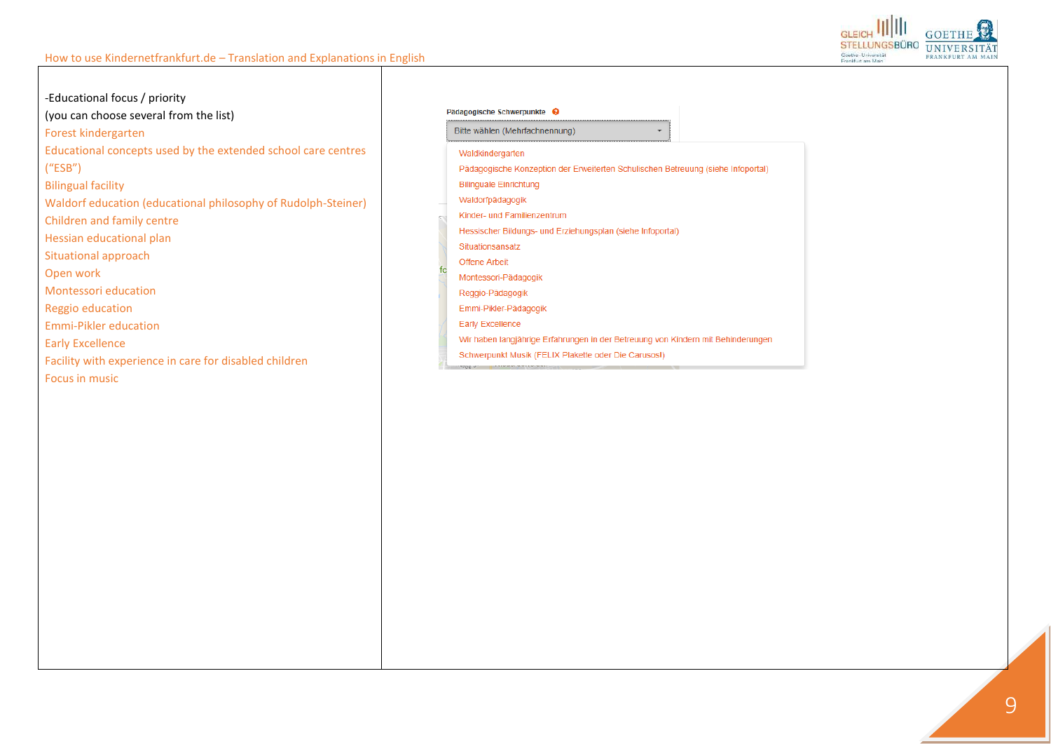

<span id="page-8-0"></span>-Educational focus / priority (you can choose several from the list) Forest kindergarten Educational concepts used by the extended school care centres  $("ESB")$ **Bilingual facility** Waldorf education (educational philosophy of Rudolph-Steiner) Children and family centre Hessian educational plan Situational approach Open work **Montessori education** Reggio education **Emmi-Pikler education Early Excellence** Facility with experience in care for disabled children Focus in music

#### Pädagogische Schwerpunkte <sup>O</sup>

Bitte wählen (Mehrfachnennung)

Waldkindergarten

Pädagogische Konzeption der Erweiterten Schulischen Betreuung (siehe Infoportal)

 $\overline{\phantom{a}}$ 

**Bilinguale Einrichtung** 

Waldorfpädagogik

Kinder- und Familienzentrum

Hessischer Bildungs- und Erziehungsplan (siehe Infoportal)

Situationsansatz

Offene Arbeit

Montessori-Pädagogik

Reggio-Pädagogik

Emmi-Pikler-Pädagogik

**Early Excellence** 

Wir haben langjährige Erfahrungen in der Betreuung von Kindern mit Behinderungen

Schwerpunkt Musik (FELIX Plakette oder Die Carusos!)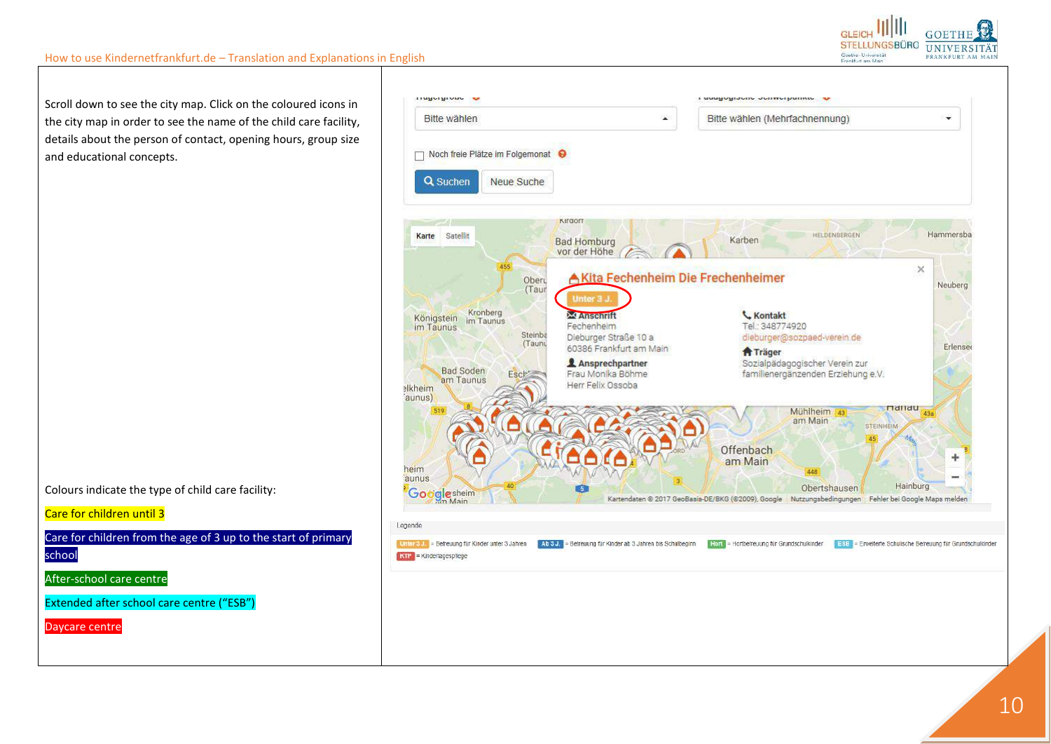



Scroll down to see the city map. Click on the coloured icons in the city map in order to see the name of the child care facility, details about the person of contact, opening hours, group size and educational concepts.

Colours indicate the type of child care facility:

### Care for children until 3

Care for children from the age of 3 up to the start of primary

school

After-school care centre

Extended after school care centre ("ESB")

Daycare centre

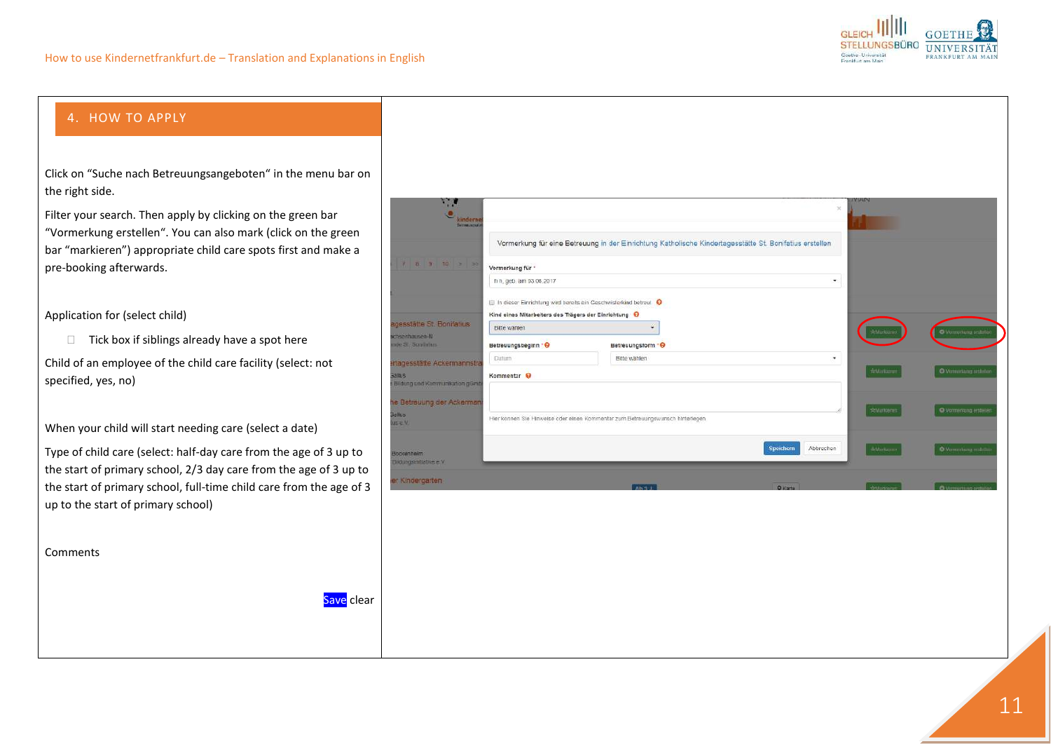

## <span id="page-10-0"></span>4. HOW TO APPLY

Click on "Suche nach Betreuungsangeboten" in the menu bar on the right side.

Filter your search. Then apply by clicking on the green bar "Vormerkung erstellen". You can also mark (click on the green bar "markieren") appropriate child care spots first and make a pre-booking afterwards.

Application for (select child)

 $\Box$  Tick box if siblings already have a spot here

Child of an employee of the child care facility (select[: not](http://de.pons.com/%C3%BCbersetzung/englisch-deutsch/not) [specified,](http://de.pons.com/%C3%BCbersetzung/englisch-deutsch/specified) yes, no)

When your child will start needing care (select a date)

Type of child care (select: half-day care from the age of 3 up to the start of primary school, 2/3 day care from the age of 3 up to the start of primary school, full-time child care from the age of 3 up to the start of primary school)

Save clear

Comments